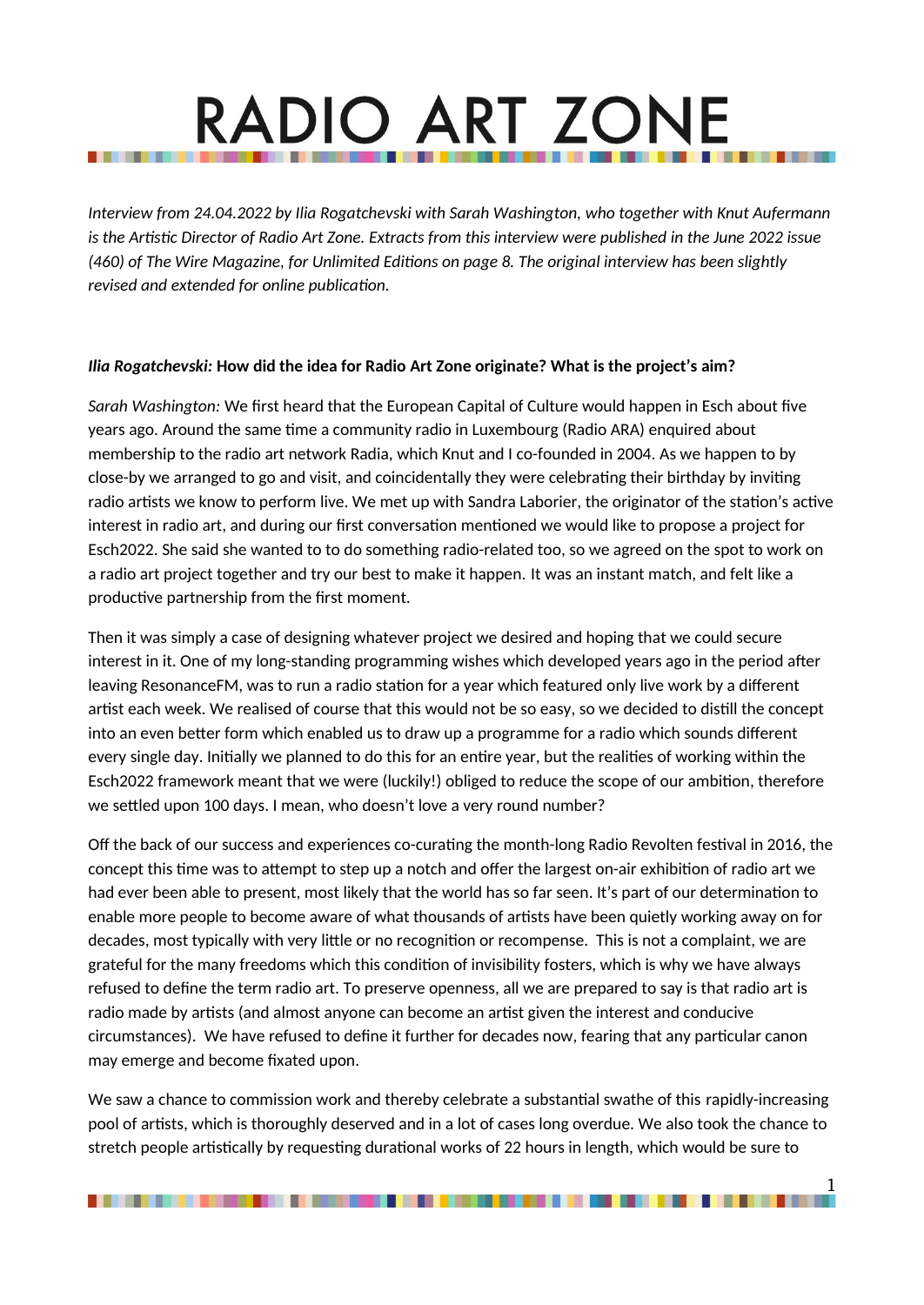# **RADIO ART ZONE**

*Interview from 24.04.2022 by Ilia Rogatchevski with Sarah Washington, who together with Knut Aufermann is the Artistic Director of Radio Art Zone. Extracts from this interview were published in the June 2022 issue (460) of The Wire Magazine, for Unlimited Editions on page 8. The original interview has been slightly revised and extended for online publication.*

#### *Ilia Rogatchevski:* **How did the idea for Radio Art Zone originate? What is the project's aim?**

*Sarah Washington:* We first heard that the European Capital of Culture would happen in Esch about five years ago. Around the same time a community radio in Luxembourg (Radio ARA) enquired about membership to the radio art network Radia, which Knut and I co-founded in 2004. As we happen to by close-by we arranged to go and visit, and coincidentally they were celebrating their birthday by inviting radio artists we know to perform live. We met up with Sandra Laborier, the originator of the station's active interest in radio art, and during our first conversation mentioned we would like to propose a project for Esch2022. She said she wanted to to do something radio-related too, so we agreed on the spot to work on a radio art project together and try our best to make it happen. It was an instant match, and felt like a productive partnership from the first moment.

Then it was simply a case of designing whatever project we desired and hoping that we could secure interest in it. One of my long-standing programming wishes which developed years ago in the period after leaving ResonanceFM, was to run a radio station for a year which featured only live work by a different artist each week. We realised of course that this would not be so easy, so we decided to distill the concept into an even better form which enabled us to draw up a programme for a radio which sounds different every single day. Initially we planned to do this for an entire year, but the realities of working within the Esch2022 framework meant that we were (luckily!) obliged to reduce the scope of our ambition, therefore we settled upon 100 days. I mean, who doesn't love a very round number?

Off the back of our success and experiences co-curating the month-long Radio Revolten festival in 2016, the concept this time was to attempt to step up a notch and offer the largest on-air exhibition of radio art we had ever been able to present, most likely that the world has so far seen. It's part of our determination to enable more people to become aware of what thousands of artists have been quietly working away on for decades, most typically with very little or no recognition or recompense. This is not a complaint, we are grateful for the many freedoms which this condition of invisibility fosters, which is why we have always refused to define the term radio art. To preserve openness, all we are prepared to say is that radio art is radio made by artists (and almost anyone can become an artist given the interest and conducive circumstances). We have refused to define it further for decades now, fearing that any particular canon may emerge and become fixated upon.

We saw a chance to commission work and thereby celebrate a substantial swathe of this rapidly-increasing pool of artists, which is thoroughly deserved and in a lot of cases long overdue. We also took the chance to stretch people artistically by requesting durational works of 22 hours in length, which would be sure to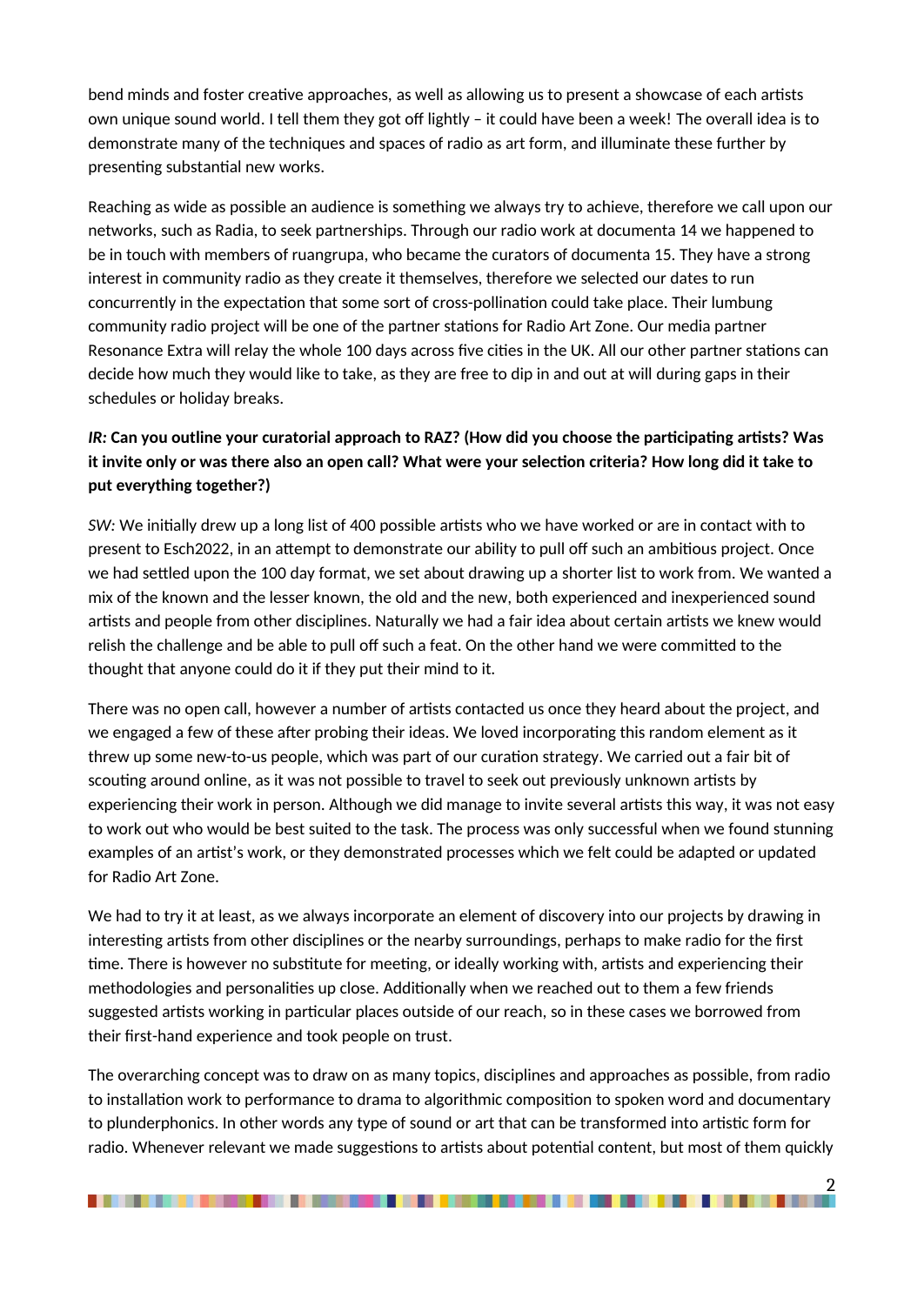bend minds and foster creative approaches, as well as allowing us to present a showcase of each artists own unique sound world. I tell them they got off lightly – it could have been a week! The overall idea is to demonstrate many of the techniques and spaces of radio as art form, and illuminate these further by presenting substantial new works.

Reaching as wide as possible an audience is something we always try to achieve, therefore we call upon our networks, such as Radia, to seek partnerships. Through our radio work at documenta 14 we happened to be in touch with members of ruangrupa, who became the curators of documenta 15. They have a strong interest in community radio as they create it themselves, therefore we selected our dates to run concurrently in the expectation that some sort of cross-pollination could take place. Their lumbung community radio project will be one of the partner stations for Radio Art Zone. Our media partner Resonance Extra will relay the whole 100 days across five cities in the UK. All our other partner stations can decide how much they would like to take, as they are free to dip in and out at will during gaps in their schedules or holiday breaks.

# *IR:* **Can you outline your curatorial approach to RAZ? (How did you choose the participating artists? Was it invite only or was there also an open call? What were your selection criteria? How long did it take to put everything together?)**

*SW:* We initially drew up a long list of 400 possible artists who we have worked or are in contact with to present to Esch2022, in an attempt to demonstrate our ability to pull off such an ambitious project. Once we had settled upon the 100 day format, we set about drawing up a shorter list to work from. We wanted a mix of the known and the lesser known, the old and the new, both experienced and inexperienced sound artists and people from other disciplines. Naturally we had a fair idea about certain artists we knew would relish the challenge and be able to pull off such a feat. On the other hand we were committed to the thought that anyone could do it if they put their mind to it.

There was no open call, however a number of artists contacted us once they heard about the project, and we engaged a few of these after probing their ideas. We loved incorporating this random element as it threw up some new-to-us people, which was part of our curation strategy. We carried out a fair bit of scouting around online, as it was not possible to travel to seek out previously unknown artists by experiencing their work in person. Although we did manage to invite several artists this way, it was not easy to work out who would be best suited to the task. The process was only successful when we found stunning examples of an artist's work, or they demonstrated processes which we felt could be adapted or updated for Radio Art Zone.

We had to try it at least, as we always incorporate an element of discovery into our projects by drawing in interesting artists from other disciplines or the nearby surroundings, perhaps to make radio for the first time. There is however no substitute for meeting, or ideally working with, artists and experiencing their methodologies and personalities up close. Additionally when we reached out to them a few friends suggested artists working in particular places outside of our reach, so in these cases we borrowed from their first-hand experience and took people on trust.

The overarching concept was to draw on as many topics, disciplines and approaches as possible, from radio to installation work to performance to drama to algorithmic composition to spoken word and documentary to plunderphonics. In other words any type of sound or art that can be transformed into artistic form for radio. Whenever relevant we made suggestions to artists about potential content, but most of them quickly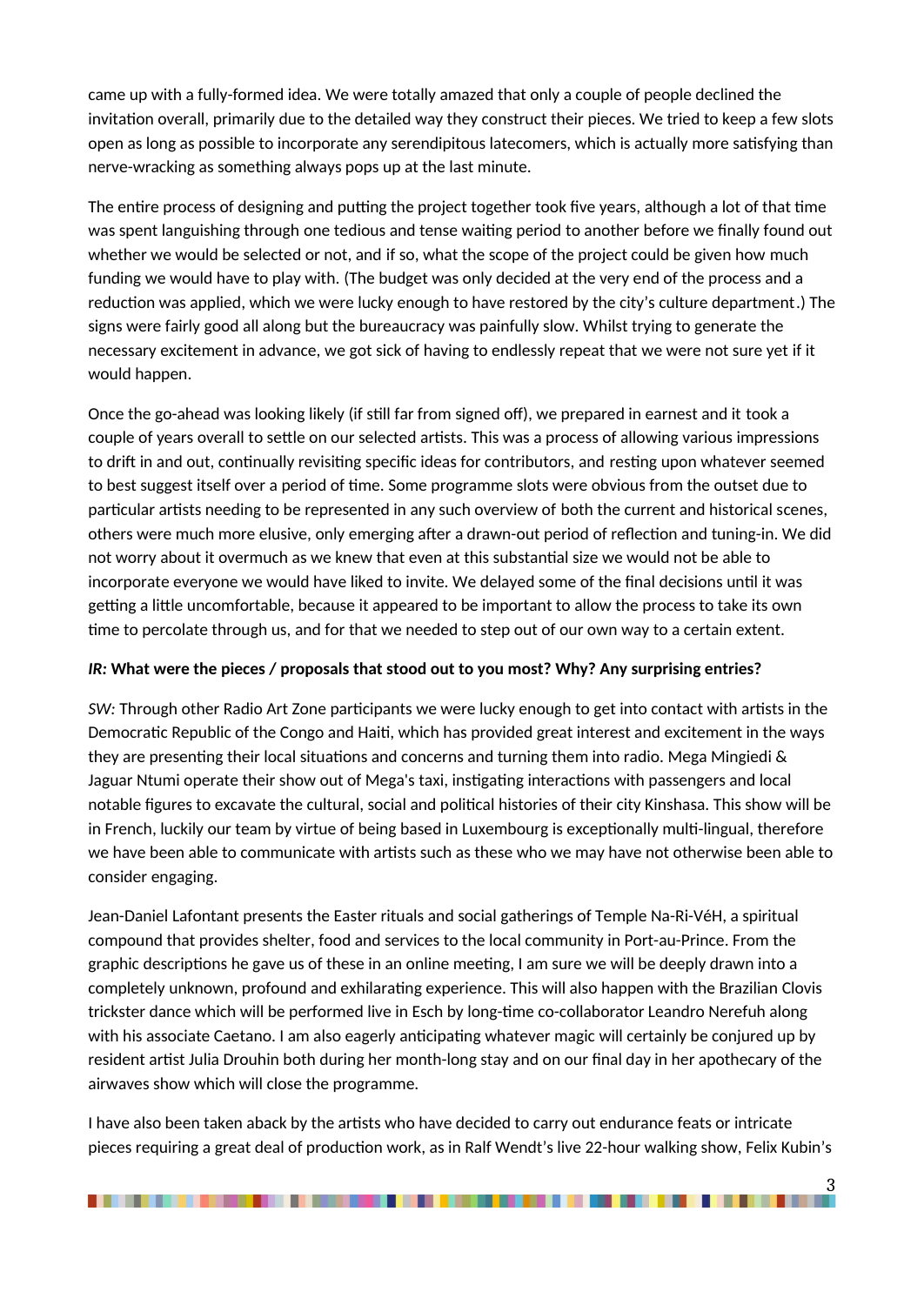came up with a fully-formed idea. We were totally amazed that only a couple of people declined the invitation overall, primarily due to the detailed way they construct their pieces. We tried to keep a few slots open as long as possible to incorporate any serendipitous latecomers, which is actually more satisfying than nerve-wracking as something always pops up at the last minute.

The entire process of designing and putting the project together took five years, although a lot of that time was spent languishing through one tedious and tense waiting period to another before we finally found out whether we would be selected or not, and if so, what the scope of the project could be given how much funding we would have to play with. (The budget was only decided at the very end of the process and a reduction was applied, which we were lucky enough to have restored by the city's culture department.) The signs were fairly good all along but the bureaucracy was painfully slow. Whilst trying to generate the necessary excitement in advance, we got sick of having to endlessly repeat that we were not sure yet if it would happen.

Once the go-ahead was looking likely (if still far from signed off), we prepared in earnest and it took a couple of years overall to settle on our selected artists. This was a process of allowing various impressions to drift in and out, continually revisiting specific ideas for contributors, and resting upon whatever seemed to best suggest itself over a period of time. Some programme slots were obvious from the outset due to particular artists needing to be represented in any such overview of both the current and historical scenes, others were much more elusive, only emerging after a drawn-out period of reflection and tuning-in. We did not worry about it overmuch as we knew that even at this substantial size we would not be able to incorporate everyone we would have liked to invite. We delayed some of the final decisions until it was getting a little uncomfortable, because it appeared to be important to allow the process to take its own time to percolate through us, and for that we needed to step out of our own way to a certain extent.

#### *IR:* **What were the pieces / proposals that stood out to you most? Why? Any surprising entries?**

*SW:* Through other Radio Art Zone participants we were lucky enough to get into contact with artists in the Democratic Republic of the Congo and Haiti, which has provided great interest and excitement in the ways they are presenting their local situations and concerns and turning them into radio. Mega Mingiedi & Jaguar Ntumi operate their show out of Mega's taxi, instigating interactions with passengers and local notable figures to excavate the cultural, social and political histories of their city Kinshasa. This show will be in French, luckily our team by virtue of being based in Luxembourg is exceptionally multi-lingual, therefore we have been able to communicate with artists such as these who we may have not otherwise been able to consider engaging.

Jean-Daniel Lafontant presents the Easter rituals and social gatherings of Temple Na-Ri-VéH, a spiritual compound that provides shelter, food and services to the local community in Port-au-Prince. From the graphic descriptions he gave us of these in an online meeting, I am sure we will be deeply drawn into a completely unknown, profound and exhilarating experience. This will also happen with the Brazilian Clovis trickster dance which will be performed live in Esch by long-time co-collaborator Leandro Nerefuh along with his associate Caetano. I am also eagerly anticipating whatever magic will certainly be conjured up by resident artist Julia Drouhin both during her month-long stay and on our final day in her apothecary of the airwaves show which will close the programme.

I have also been taken aback by the artists who have decided to carry out endurance feats or intricate pieces requiring a great deal of production work, as in Ralf Wendt's live 22-hour walking show, Felix Kubin's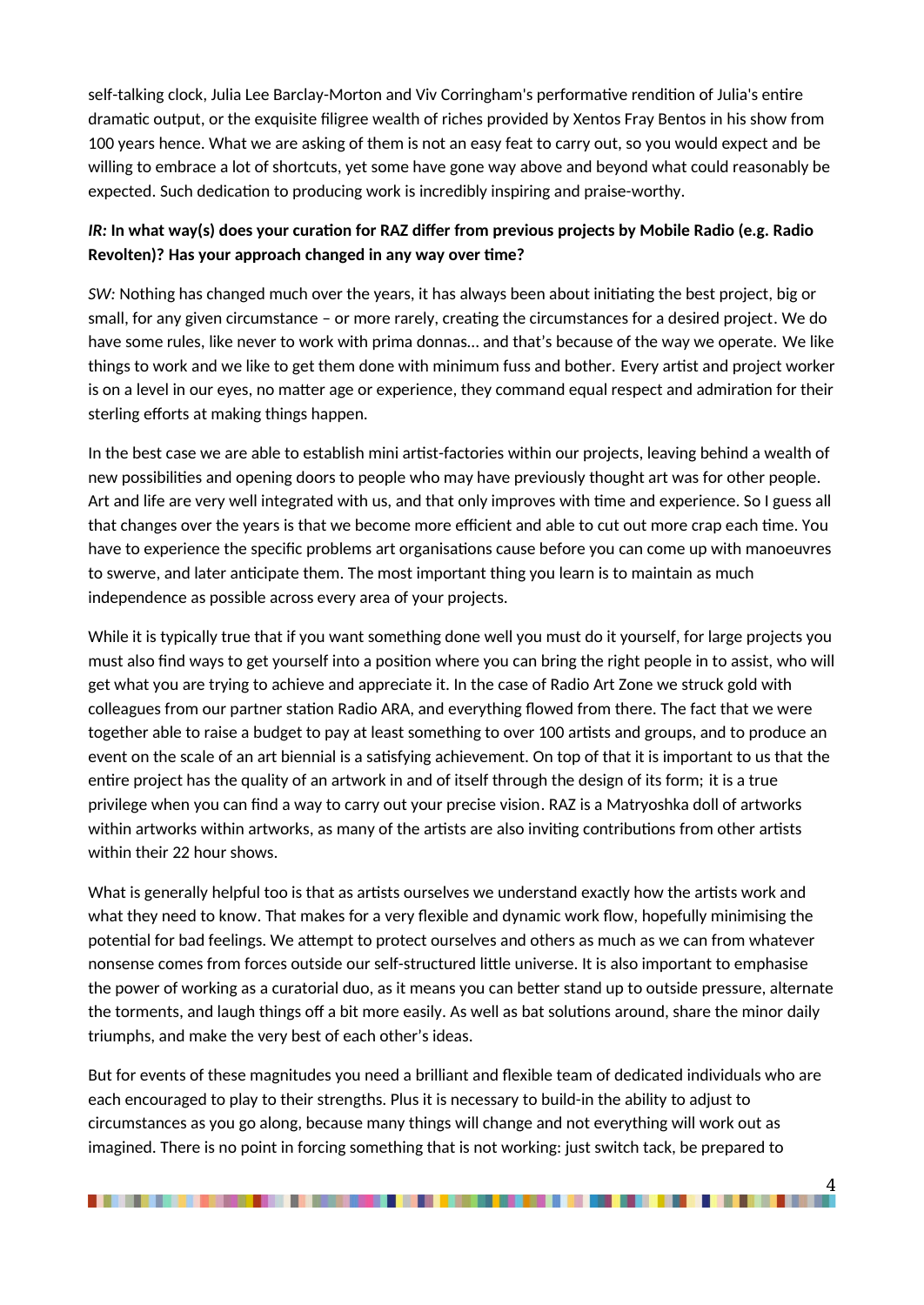self-talking clock, Julia Lee Barclay-Morton and Viv Corringham's performative rendition of Julia's entire dramatic output, or the exquisite filigree wealth of riches provided by Xentos Fray Bentos in his show from 100 years hence. What we are asking of them is not an easy feat to carry out, so you would expect and be willing to embrace a lot of shortcuts, yet some have gone way above and beyond what could reasonably be expected. Such dedication to producing work is incredibly inspiring and praise-worthy.

## *IR:* **In what way(s) does your curation for RAZ differ from previous projects by Mobile Radio (e.g. Radio Revolten)? Has your approach changed in any way over time?**

*SW:* Nothing has changed much over the years, it has always been about initiating the best project, big or small, for any given circumstance – or more rarely, creating the circumstances for a desired project. We do have some rules, like never to work with prima donnas… and that's because of the way we operate. We like things to work and we like to get them done with minimum fuss and bother. Every artist and project worker is on a level in our eyes, no matter age or experience, they command equal respect and admiration for their sterling efforts at making things happen.

In the best case we are able to establish mini artist-factories within our projects, leaving behind a wealth of new possibilities and opening doors to people who may have previously thought art was for other people. Art and life are very well integrated with us, and that only improves with time and experience. So I guess all that changes over the years is that we become more efficient and able to cut out more crap each time. You have to experience the specific problems art organisations cause before you can come up with manoeuvres to swerve, and later anticipate them. The most important thing you learn is to maintain as much independence as possible across every area of your projects.

While it is typically true that if you want something done well you must do it yourself, for large projects you must also find ways to get yourself into a position where you can bring the right people in to assist, who will get what you are trying to achieve and appreciate it. In the case of Radio Art Zone we struck gold with colleagues from our partner station Radio ARA, and everything flowed from there. The fact that we were together able to raise a budget to pay at least something to over 100 artists and groups, and to produce an event on the scale of an art biennial is a satisfying achievement. On top of that it is important to us that the entire project has the quality of an artwork in and of itself through the design of its form; it is a true privilege when you can find a way to carry out your precise vision. RAZ is a Matryoshka doll of artworks within artworks within artworks, as many of the artists are also inviting contributions from other artists within their 22 hour shows.

What is generally helpful too is that as artists ourselves we understand exactly how the artists work and what they need to know. That makes for a very flexible and dynamic work flow, hopefully minimising the potential for bad feelings. We attempt to protect ourselves and others as much as we can from whatever nonsense comes from forces outside our self-structured little universe. It is also important to emphasise the power of working as a curatorial duo, as it means you can better stand up to outside pressure, alternate the torments, and laugh things off a bit more easily. As well as bat solutions around, share the minor daily triumphs, and make the very best of each other's ideas.

But for events of these magnitudes you need a brilliant and flexible team of dedicated individuals who are each encouraged to play to their strengths. Plus it is necessary to build-in the ability to adjust to circumstances as you go along, because many things will change and not everything will work out as imagined. There is no point in forcing something that is not working: just switch tack, be prepared to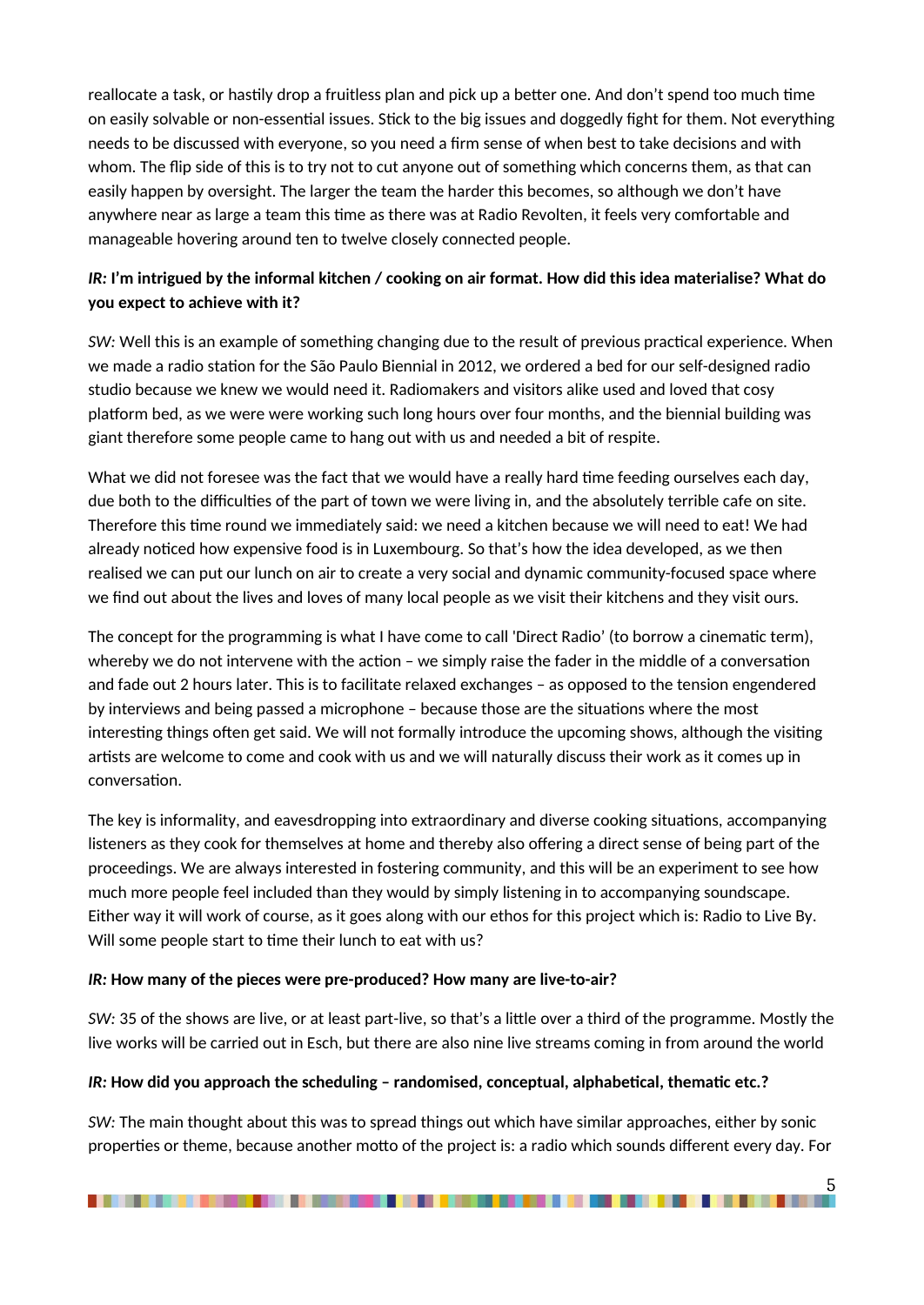reallocate a task, or hastily drop a fruitless plan and pick up a better one. And don't spend too much time on easily solvable or non-essential issues. Stick to the big issues and doggedly fight for them. Not everything needs to be discussed with everyone, so you need a firm sense of when best to take decisions and with whom. The flip side of this is to try not to cut anyone out of something which concerns them, as that can easily happen by oversight. The larger the team the harder this becomes, so although we don't have anywhere near as large a team this time as there was at Radio Revolten, it feels very comfortable and manageable hovering around ten to twelve closely connected people.

# *IR:* **I'm intrigued by the informal kitchen / cooking on air format. How did this idea materialise? What do you expect to achieve with it?**

*SW:* Well this is an example of something changing due to the result of previous practical experience. When we made a radio station for the São Paulo Biennial in 2012, we ordered a bed for our self-designed radio studio because we knew we would need it. Radiomakers and visitors alike used and loved that cosy platform bed, as we were were working such long hours over four months, and the biennial building was giant therefore some people came to hang out with us and needed a bit of respite.

What we did not foresee was the fact that we would have a really hard time feeding ourselves each day, due both to the difficulties of the part of town we were living in, and the absolutely terrible cafe on site. Therefore this time round we immediately said: we need a kitchen because we will need to eat! We had already noticed how expensive food is in Luxembourg. So that's how the idea developed, as we then realised we can put our lunch on air to create a very social and dynamic community-focused space where we find out about the lives and loves of many local people as we visit their kitchens and they visit ours.

The concept for the programming is what I have come to call 'Direct Radio' (to borrow a cinematic term), whereby we do not intervene with the action – we simply raise the fader in the middle of a conversation and fade out 2 hours later. This is to facilitate relaxed exchanges – as opposed to the tension engendered by interviews and being passed a microphone – because those are the situations where the most interesting things often get said. We will not formally introduce the upcoming shows, although the visiting artists are welcome to come and cook with us and we will naturally discuss their work as it comes up in conversation.

The key is informality, and eavesdropping into extraordinary and diverse cooking situations, accompanying listeners as they cook for themselves at home and thereby also offering a direct sense of being part of the proceedings. We are always interested in fostering community, and this will be an experiment to see how much more people feel included than they would by simply listening in to accompanying soundscape. Either way it will work of course, as it goes along with our ethos for this project which is: Radio to Live By. Will some people start to time their lunch to eat with us?

#### *IR:* **How many of the pieces were pre-produced? How many are live-to-air?**

*SW:* 35 of the shows are live, or at least part-live, so that's a little over a third of the programme. Mostly the live works will be carried out in Esch, but there are also nine live streams coming in from around the world

#### *IR:* **How did you approach the scheduling – randomised, conceptual, alphabetical, thematic etc.?**

*SW:* The main thought about this was to spread things out which have similar approaches, either by sonic properties or theme, because another motto of the project is: a radio which sounds different every day. For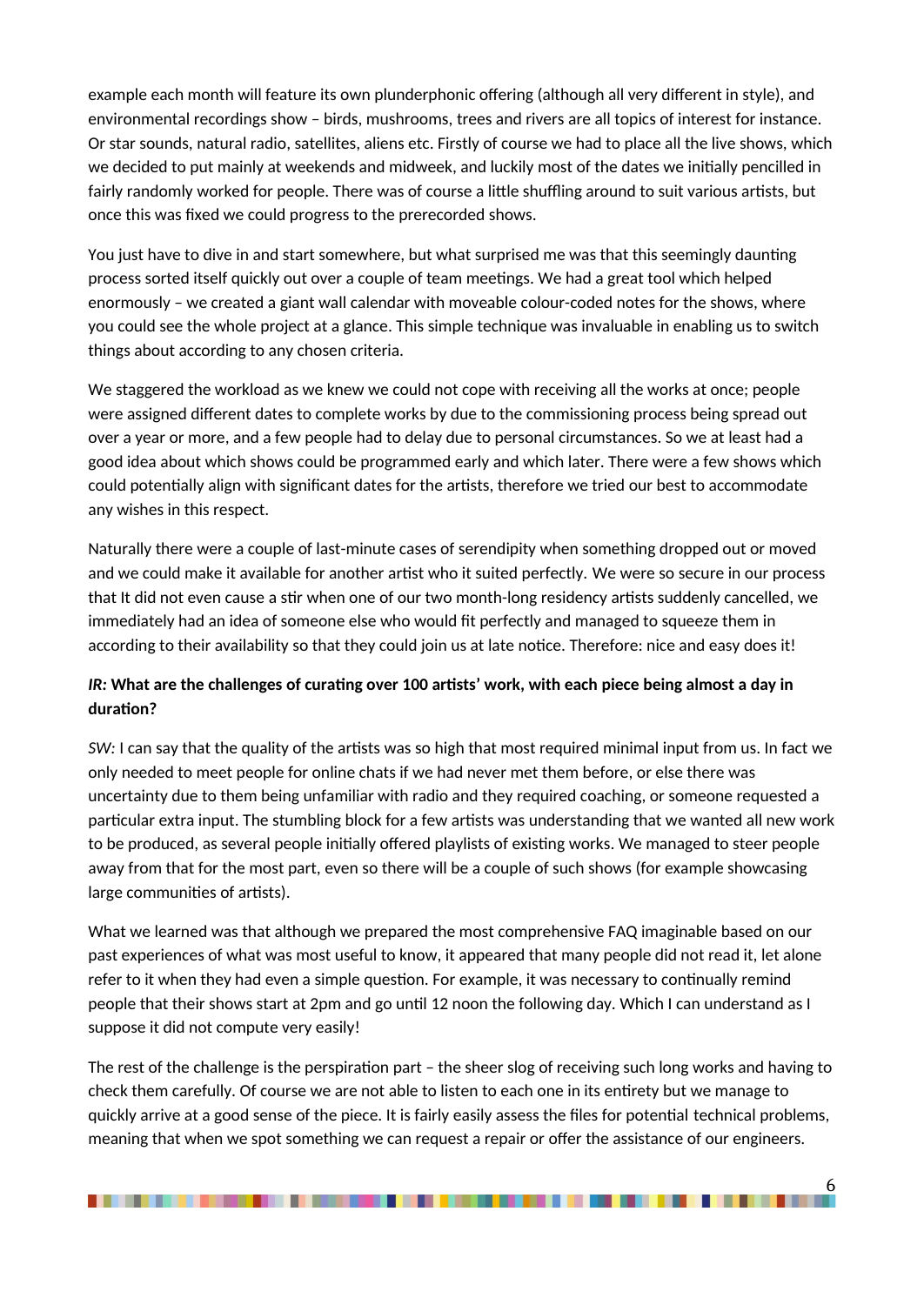example each month will feature its own plunderphonic offering (although all very different in style), and environmental recordings show – birds, mushrooms, trees and rivers are all topics of interest for instance. Or star sounds, natural radio, satellites, aliens etc. Firstly of course we had to place all the live shows, which we decided to put mainly at weekends and midweek, and luckily most of the dates we initially pencilled in fairly randomly worked for people. There was of course a little shuffling around to suit various artists, but once this was fixed we could progress to the prerecorded shows.

You just have to dive in and start somewhere, but what surprised me was that this seemingly daunting process sorted itself quickly out over a couple of team meetings. We had a great tool which helped enormously – we created a giant wall calendar with moveable colour-coded notes for the shows, where you could see the whole project at a glance. This simple technique was invaluable in enabling us to switch things about according to any chosen criteria.

We staggered the workload as we knew we could not cope with receiving all the works at once; people were assigned different dates to complete works by due to the commissioning process being spread out over a year or more, and a few people had to delay due to personal circumstances. So we at least had a good idea about which shows could be programmed early and which later. There were a few shows which could potentially align with significant dates for the artists, therefore we tried our best to accommodate any wishes in this respect.

Naturally there were a couple of last-minute cases of serendipity when something dropped out or moved and we could make it available for another artist who it suited perfectly. We were so secure in our process that It did not even cause a stir when one of our two month-long residency artists suddenly cancelled, we immediately had an idea of someone else who would fit perfectly and managed to squeeze them in according to their availability so that they could join us at late notice. Therefore: nice and easy does it!

## *IR:* **What are the challenges of curating over 100 artists' work, with each piece being almost a day in duration?**

*SW:* I can say that the quality of the artists was so high that most required minimal input from us. In fact we only needed to meet people for online chats if we had never met them before, or else there was uncertainty due to them being unfamiliar with radio and they required coaching, or someone requested a particular extra input. The stumbling block for a few artists was understanding that we wanted all new work to be produced, as several people initially offered playlists of existing works. We managed to steer people away from that for the most part, even so there will be a couple of such shows (for example showcasing large communities of artists).

What we learned was that although we prepared the most comprehensive FAQ imaginable based on our past experiences of what was most useful to know, it appeared that many people did not read it, let alone refer to it when they had even a simple question. For example, it was necessary to continually remind people that their shows start at 2pm and go until 12 noon the following day. Which I can understand as I suppose it did not compute very easily!

The rest of the challenge is the perspiration part – the sheer slog of receiving such long works and having to check them carefully. Of course we are not able to listen to each one in its entirety but we manage to quickly arrive at a good sense of the piece. It is fairly easily assess the files for potential technical problems, meaning that when we spot something we can request a repair or offer the assistance of our engineers.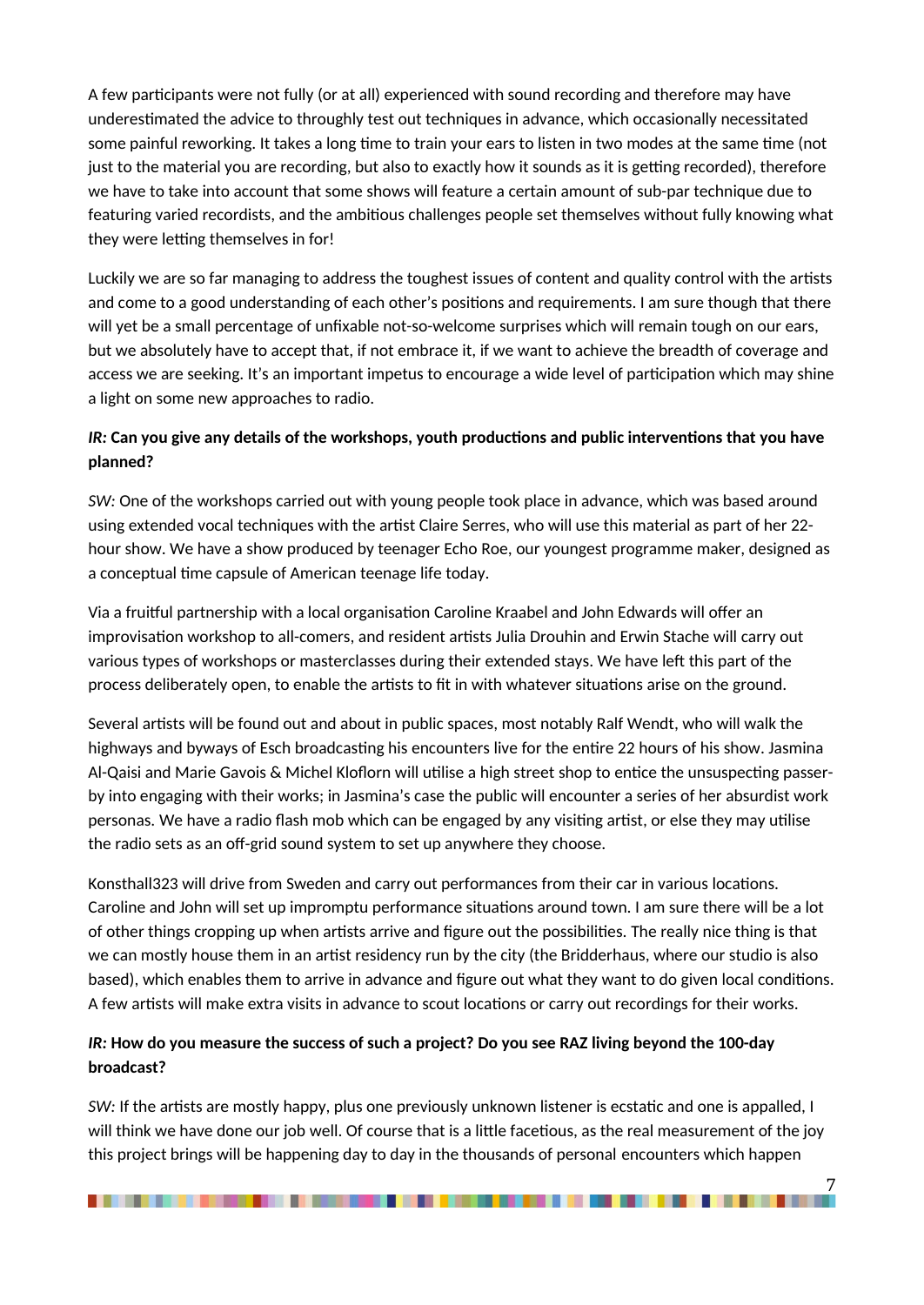A few participants were not fully (or at all) experienced with sound recording and therefore may have underestimated the advice to throughly test out techniques in advance, which occasionally necessitated some painful reworking. It takes a long time to train your ears to listen in two modes at the same time (not just to the material you are recording, but also to exactly how it sounds as it is getting recorded), therefore we have to take into account that some shows will feature a certain amount of sub-par technique due to featuring varied recordists, and the ambitious challenges people set themselves without fully knowing what they were letting themselves in for!

Luckily we are so far managing to address the toughest issues of content and quality control with the artists and come to a good understanding of each other's positions and requirements. I am sure though that there will yet be a small percentage of unfixable not-so-welcome surprises which will remain tough on our ears, but we absolutely have to accept that, if not embrace it, if we want to achieve the breadth of coverage and access we are seeking. It's an important impetus to encourage a wide level of participation which may shine a light on some new approaches to radio.

## *IR:* **Can you give any details of the workshops, youth productions and public interventions that you have planned?**

*SW:* One of the workshops carried out with young people took place in advance, which was based around using extended vocal techniques with the artist Claire Serres, who will use this material as part of her 22 hour show. We have a show produced by teenager Echo Roe, our youngest programme maker, designed as a conceptual time capsule of American teenage life today.

Via a fruitful partnership with a local organisation Caroline Kraabel and John Edwards will offer an improvisation workshop to all-comers, and resident artists Julia Drouhin and Erwin Stache will carry out various types of workshops or masterclasses during their extended stays. We have left this part of the process deliberately open, to enable the artists to fit in with whatever situations arise on the ground.

Several artists will be found out and about in public spaces, most notably Ralf Wendt, who will walk the highways and byways of Esch broadcasting his encounters live for the entire 22 hours of his show. Jasmina Al-Qaisi and Marie Gavois & Michel Kloflorn will utilise a high street shop to entice the unsuspecting passerby into engaging with their works; in Jasmina's case the public will encounter a series of her absurdist work personas. We have a radio flash mob which can be engaged by any visiting artist, or else they may utilise the radio sets as an off-grid sound system to set up anywhere they choose.

Konsthall323 will drive from Sweden and carry out performances from their car in various locations. Caroline and John will set up impromptu performance situations around town. I am sure there will be a lot of other things cropping up when artists arrive and figure out the possibilities. The really nice thing is that we can mostly house them in an artist residency run by the city (the Bridderhaus, where our studio is also based), which enables them to arrive in advance and figure out what they want to do given local conditions. A few artists will make extra visits in advance to scout locations or carry out recordings for their works.

#### *IR:* **How do you measure the success of such a project? Do you see RAZ living beyond the 100-day broadcast?**

*SW:* If the artists are mostly happy, plus one previously unknown listener is ecstatic and one is appalled, I will think we have done our job well. Of course that is a little facetious, as the real measurement of the joy this project brings will be happening day to day in the thousands of personal encounters which happen